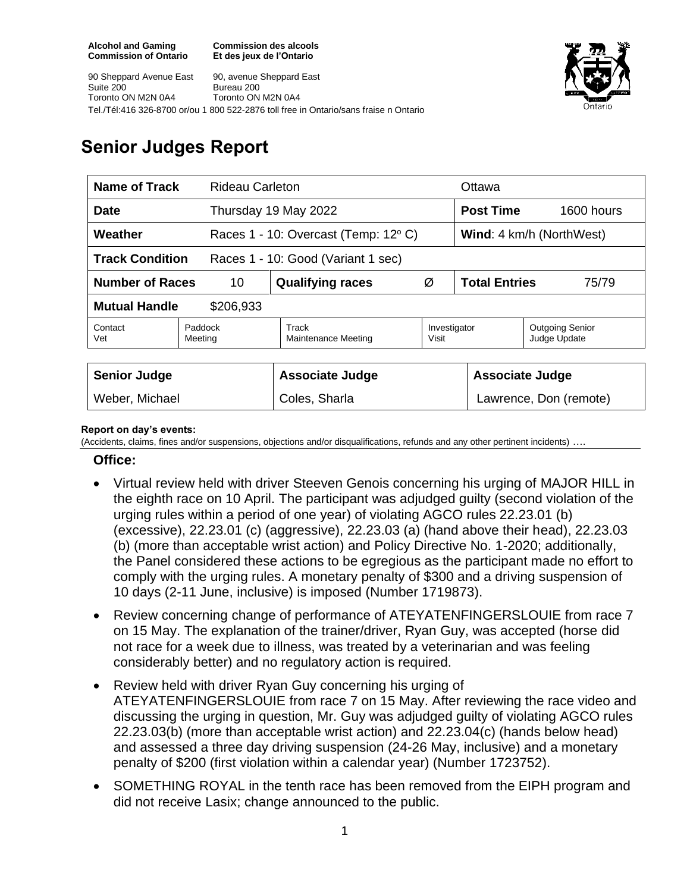**Commission des alcools Et des jeux de l'Ontario**





# **Senior Judges Report**

| Name of Track<br>Rideau Carleton                             |                    |                                     |                       | Ottawa                          |                                        |  |
|--------------------------------------------------------------|--------------------|-------------------------------------|-----------------------|---------------------------------|----------------------------------------|--|
| Date                                                         |                    | Thursday 19 May 2022                |                       |                                 | <b>Post Time</b><br>1600 hours         |  |
| Weather                                                      |                    | Races 1 - 10: Overcast (Temp: 12°C) |                       | <b>Wind:</b> 4 km/h (NorthWest) |                                        |  |
| <b>Track Condition</b><br>Races 1 - 10: Good (Variant 1 sec) |                    |                                     |                       |                                 |                                        |  |
| <b>Number of Races</b><br>10                                 |                    | <b>Qualifying races</b>             | Ø                     | <b>Total Entries</b><br>75/79   |                                        |  |
| <b>Mutual Handle</b><br>\$206,933                            |                    |                                     |                       |                                 |                                        |  |
| Contact<br>Vet                                               | Paddock<br>Meeting | Track<br><b>Maintenance Meeting</b> | Investigator<br>Visit |                                 | <b>Outgoing Senior</b><br>Judge Update |  |
|                                                              |                    |                                     |                       |                                 |                                        |  |
| <b>Senior Judge</b>                                          |                    | <b>Associate Judge</b>              |                       |                                 | <b>Associate Judge</b>                 |  |
| Weber, Michael                                               |                    | Coles, Sharla                       |                       |                                 | Lawrence, Don (remote)                 |  |

#### **Report on day's events:**

(Accidents, claims, fines and/or suspensions, objections and/or disqualifications, refunds and any other pertinent incidents) ….

#### **Office:**

- Virtual review held with driver Steeven Genois concerning his urging of MAJOR HILL in the eighth race on 10 April. The participant was adjudged guilty (second violation of the urging rules within a period of one year) of violating AGCO rules 22.23.01 (b) (excessive), 22.23.01 (c) (aggressive), 22.23.03 (a) (hand above their head), 22.23.03 (b) (more than acceptable wrist action) and Policy Directive No. 1-2020; additionally, the Panel considered these actions to be egregious as the participant made no effort to comply with the urging rules. A monetary penalty of \$300 and a driving suspension of 10 days (2-11 June, inclusive) is imposed (Number 1719873).
- Review concerning change of performance of ATEYATENFINGERSLOUIE from race 7 on 15 May. The explanation of the trainer/driver, Ryan Guy, was accepted (horse did not race for a week due to illness, was treated by a veterinarian and was feeling considerably better) and no regulatory action is required.
- Review held with driver Ryan Guy concerning his urging of ATEYATENFINGERSLOUIE from race 7 on 15 May. After reviewing the race video and discussing the urging in question, Mr. Guy was adjudged guilty of violating AGCO rules 22.23.03(b) (more than acceptable wrist action) and 22.23.04(c) (hands below head) and assessed a three day driving suspension (24-26 May, inclusive) and a monetary penalty of \$200 (first violation within a calendar year) (Number 1723752).
- SOMETHING ROYAL in the tenth race has been removed from the EIPH program and did not receive Lasix; change announced to the public.